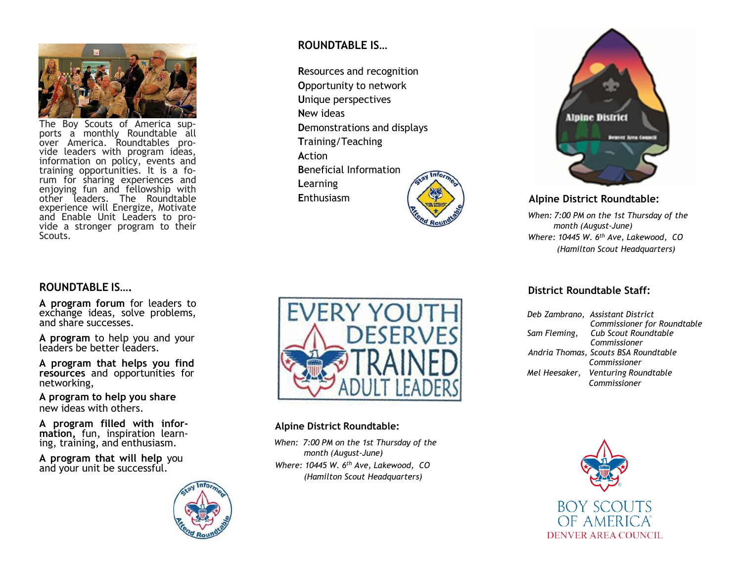

The Boy Scouts of America sup - ports <sup>a</sup> monthly Roundtable all over America. Roundtables pro over America. Roundtables pro-<br>vide leaders with program ideas, information on policy, events and training opportunities . It is a fo - rum for sharing experiences and enjoying fun and fellowship with other leaders . The Roundtable experience will Energize, Motivate and Enable Unit Leaders to pro - vide <sup>a</sup> stronger program to their Scouts .

# **ROUNDTABLE IS….**

**A program forum** for leaders to exchange ideas, solve problems, and share successes .

**A program** to help you and your leaders be better leaders .

**A program that helps you find resources** and opportunities for networking,

**A program to help you share** new ideas with others .

**A program filled with infor - mation,** fun, inspiration learn- ing, training, and enthusiasm.

**A program that will help** you and your unit be successful .



# **ROUNDTABLE IS …**

**R**esources and recognition **O**pportunity to network **U**nique perspectives **N**ew ideas **D**emonstrations and displays **T**raining/Teaching **A**ction **B**eneficial Information **L**earning **E**nthusiasm





#### **Alpine District Roundtable:**

*When: 7:00 PM on the 1st Thursday of the month (August -June) Where: 10445 W. 6th Ave, Lakewood, CO (Hamilton Scout Headquarters)*



## **Alpine District Roundtable:**

*When: 7:00 PM on the 1st Thursday of the month (August -June) Where: 10445 W. 6th Ave, Lakewood, CO (Hamilton Scout Headquarters)*

#### **District Roundtable Staff:**

| Deb Zambrano, Assistant District     |
|--------------------------------------|
| Commissioner for Roundtable          |
| Sam Fleming, Cub Scout Roundtable    |
| Commissioner                         |
| Andria Thomas, Scouts BSA Roundtable |
| Commissioner                         |
| Mel Heesaker, Venturing Roundtable   |
| Commissioner                         |